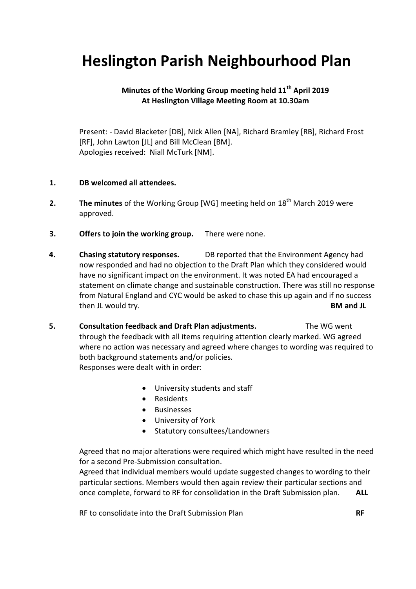## **Heslington Parish Neighbourhood Plan**

## **Minutes of the Working Group meeting held 11th April 2019 At Heslington Village Meeting Room at 10.30am**

Present: - David Blacketer [DB], Nick Allen [NA], Richard Bramley [RB], Richard Frost [RF], John Lawton [JL] and Bill McClean [BM]. Apologies received: Niall McTurk [NM].

## **1. DB welcomed all attendees.**

- **2. The minutes** of the Working Group [WG] meeting held on 18<sup>th</sup> March 2019 were approved.
- **3. Offers to join the working group.** There were none.
- **4. Chasing statutory responses.** DB reported that the Environment Agency had now responded and had no objection to the Draft Plan which they considered would have no significant impact on the environment. It was noted EA had encouraged a statement on climate change and sustainable construction. There was still no response from Natural England and CYC would be asked to chase this up again and if no success then JL would try. **BM and JL**
- **5. Consultation feedback and Draft Plan adjustments.** The WG went through the feedback with all items requiring attention clearly marked. WG agreed where no action was necessary and agreed where changes to wording was required to both background statements and/or policies. Responses were dealt with in order:
	- University students and staff
	- Residents
	- **•** Businesses
	- University of York
	- Statutory consultees/Landowners

Agreed that no major alterations were required which might have resulted in the need for a second Pre-Submission consultation.

Agreed that individual members would update suggested changes to wording to their particular sections. Members would then again review their particular sections and once complete, forward to RF for consolidation in the Draft Submission plan. **ALL**

RF to consolidate into the Draft Submission Plan **RF**